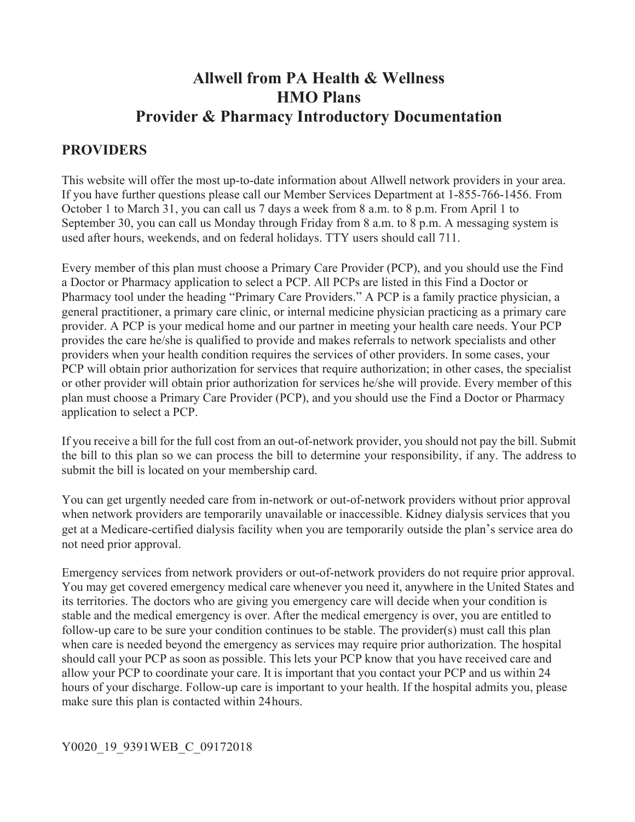# **Allwell from PA Health & Wellness HMO Plans Provider & Pharmacy Introductory Documentation**

## **PROVIDERS**

This website will offer the most up-to-date information about Allwell network providers in your area. If you have further questions please call our Member Services Department at 1-855-766-1456. From October 1 to March 31, you can call us 7 days a week from 8 a.m. to 8 p.m. From April 1 to September 30, you can call us Monday through Friday from 8 a.m. to 8 p.m. A messaging system is used after hours, weekends, and on federal holidays. TTY users should call 711.

Every member of this plan must choose a Primary Care Provider (PCP), and you should use the Find a Doctor or Pharmacy application to select a PCP. All PCPs are listed in this Find a Doctor or Pharmacy tool under the heading "Primary Care Providers." A PCP is a family practice physician, a general practitioner, a primary care clinic, or internal medicine physician practicing as a primary care provider. A PCP is your medical home and our partner in meeting your health care needs. Your PCP provides the care he/she is qualified to provide and makes referrals to network specialists and other providers when your health condition requires the services of other providers. In some cases, your PCP will obtain prior authorization for services that require authorization; in other cases, the specialist or other provider will obtain prior authorization for services he/she will provide. Every member of this plan must choose a Primary Care Provider (PCP), and you should use the Find a Doctor or Pharmacy application to select a PCP.

If you receive a bill for the full cost from an out-of-network provider, you should not pay the bill. Submit the bill to this plan so we can process the bill to determine your responsibility, if any. The address to submit the bill is located on your membership card.

You can get urgently needed care from in-network or out-of-network providers without prior approval when network providers are temporarily unavailable or inaccessible. Kidney dialysis services that you get at a Medicare-certified dialysis facility when you are temporarily outside the plan's service area do not need prior approval.

Emergency services from network providers or out-of-network providers do not require prior approval. You may get covered emergency medical care whenever you need it, anywhere in the United States and its territories. The doctors who are giving you emergency care will decide when your condition is stable and the medical emergency is over. After the medical emergency is over, you are entitled to follow-up care to be sure your condition continues to be stable. The provider(s) must call this plan when care is needed beyond the emergency as services may require prior authorization. The hospital should call your PCP as soon as possible. This lets your PCP know that you have received care and allow your PCP to coordinate your care. It is important that you contact your PCP and us within 24 hours of your discharge. Follow-up care is important to your health. If the hospital admits you, please make sure this plan is contacted within 24 hours.

#### Y0020\_19\_9391WEB\_C\_09172018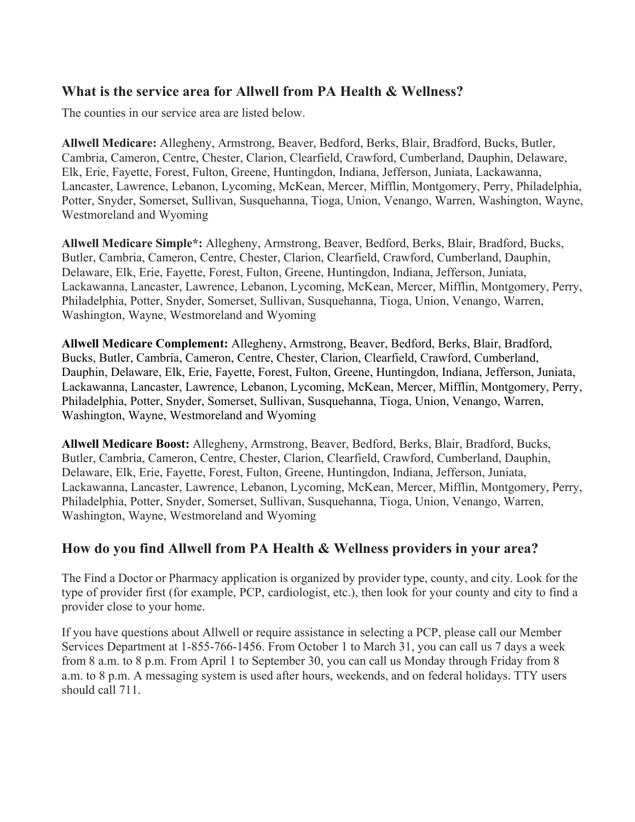#### **What is the service area for Allwell from PA Health & Wellness?**

The counties in our service area are listed below.

**Allwell Medicare:** Allegheny, Armstrong, Beaver, Bedford, Berks, Blair, Bradford, Bucks, Butler, Cambria, Cameron, Centre, Chester, Clarion, Clearfield, Crawford, Cumberland, Dauphin, Delaware, Elk, Erie, Fayette, Forest, Fulton, Greene, Huntingdon, Indiana, Jefferson, Juniata, Lackawanna, Lancaster, Lawrence, Lebanon, Lycoming, McKean, Mercer, Mifflin, Montgomery, Perry, Philadelphia, Potter, Snyder, Somerset, Sullivan, Susquehanna, Tioga, Union, Venango, Warren, Washington, Wayne, Westmoreland and Wyoming

**Allwell Medicare Simple\*:** Allegheny, Armstrong, Beaver, Bedford, Berks, Blair, Bradford, Bucks, Butler, Cambria, Cameron, Centre, Chester, Clarion, Clearfield, Crawford, Cumberland, Dauphin, Delaware, Elk, Erie, Fayette, Forest, Fulton, Greene, Huntingdon, Indiana, Jefferson, Juniata, Lackawanna, Lancaster, Lawrence, Lebanon, Lycoming, McKean, Mercer, Mifflin, Montgomery, Perry, Philadelphia, Potter, Snyder, Somerset, Sullivan, Susquehanna, Tioga, Union, Venango, Warren, Washington, Wayne, Westmoreland and Wyoming

**Allwell Medicare Complement:** Allegheny, Armstrong, Beaver, Bedford, Berks, Blair, Bradford, Bucks, Butler, Cambria, Cameron, Centre, Chester, Clarion, Clearfield, Crawford, Cumberland, Dauphin, Delaware, Elk, Erie, Fayette, Forest, Fulton, Greene, Huntingdon, Indiana, Jefferson, Juniata, Lackawanna, Lancaster, Lawrence, Lebanon, Lycoming, McKean, Mercer, Mifflin, Montgomery, Perry, Philadelphia, Potter, Snyder, Somerset, Sullivan, Susquehanna, Tioga, Union, Venango, Warren, Washington, Wayne, Westmoreland and Wyoming

**Allwell Medicare Boost:** Allegheny, Armstrong, Beaver, Bedford, Berks, Blair, Bradford, Bucks, Butler, Cambria, Cameron, Centre, Chester, Clarion, Clearfield, Crawford, Cumberland, Dauphin, Delaware, Elk, Erie, Fayette, Forest, Fulton, Greene, Huntingdon, Indiana, Jefferson, Juniata, Lackawanna, Lancaster, Lawrence, Lebanon, Lycoming, McKean, Mercer, Mifflin, Montgomery, Perry, Philadelphia, Potter, Snyder, Somerset, Sullivan, Susquehanna, Tioga, Union, Venango, Warren, Washington, Wayne, Westmoreland and Wyoming

### **How do you find Allwell from PA Health & Wellness providers in your area?**

The Find a Doctor or Pharmacy application is organized by provider type, county, and city. Look for the type of provider first (for example, PCP, cardiologist, etc.), then look for your county and city to find a provider close to your home.

If you have questions about Allwell or require assistance in selecting a PCP, please call our Member Services Department at 1-855-766-1456. From October 1 to March 31, you can call us 7 days a week from 8 a.m. to 8 p.m. From April 1 to September 30, you can call us Monday through Friday from 8 a.m. to 8 p.m. A messaging system is used after hours, weekends, and on federal holidays. TTY users should call 711.